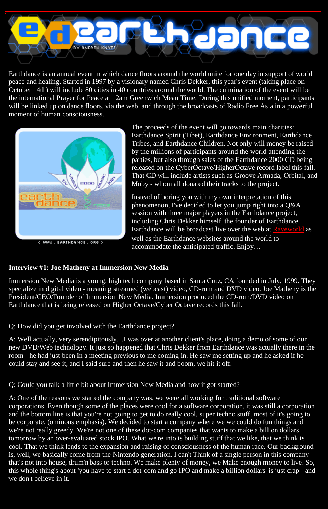

Earthdance is an annual event in which dance floors around the world unite for one day in support of world peace and healing. Started in 1997 by a visionary named Chris Dekker, this year's event (taking place on October 14th) will include 80 cities in 40 countries around the world. The culmination of the event will be the international Prayer for Peace at 12am Greenwich Mean Time. During this unified moment, participants will be linked up on dance floors, via the web, and through the broadcasts of Radio Free Asia in a powerful moment of human consciousness.



< WWW. EARTHDANCE. ORG >

The proceeds of the event will go towards main charities: Earthdance Spirit (Tibet), Earthdance Environment, Earthdance Tribes, and Earthdance Children. Not only will money be raised by the millions of participants around the world attending the parties, but also through sales of the Earthdance 2000 CD being released on the CyberOctave/HigherOctave record label this fall. That CD will include artists such as Groove Armada, Orbital, and Moby - whom all donated their tracks to the project.

Instead of boring you with my own interpretation of this phenomenon, I've decided to let you jump right into a Q&A session with three major players in the Earthdance project, including Chris Dekker himself, the founder of Earthdance. Earthdance will be broadcast live over the web at [Raveworld](http://www.raveworld.net/) as well as the Earthdance websites around the world to accommodate the anticipated traffic. Enjoy…

### **Interview #1: Joe Matheny at Immersion New Media**

Immersion New Media is a young, high tech company based in Santa Cruz, CA founded in July, 1999. They specialize in digital video - meaning streamed (webcast) video, CD-rom and DVD video. Joe Matheny is the President/CEO/Founder of Immersion New Media. Immersion produced the CD-rom/DVD video on Earthdance that is being released on Higher Octave/Cyber Octave records this fall.

Q: How did you get involved with the Earthdance project?

A: Well actually, very serendipitously…I was over at another client's place, doing a demo of some of our new DVD/Web technology. It just so happened that Chris Dekker from Earthdance was actually there in the room - he had just been in a meeting previous to me coming in. He saw me setting up and he asked if he could stay and see it, and I said sure and then he saw it and boom, we hit it off.

Q: Could you talk a little bit about Immersion New Media and how it got started?

A: One of the reasons we started the company was, we were all working for traditional software corporations. Even though some of the places were cool for a software corporation, it was still a corporation and the bottom line is that you're not going to get to do really cool, super techno stuff. most of it's going to be corporate. (ominous emphasis). We decided to start a company where we we could do fun things and we're not really greedy. We're not one of these dot-com companies that wants to make a billion dollars tomorrow by an over-evaluated stock IPO. What we're into is building stuff that we like, that we think is cool. That we think lends to the expansion and raising of consciousness of the human race. Our background is, well, we basically come from the Nintendo generation. I can't Think of a single person in this company that's not into house, drum'n'bass or techno. We make plenty of money, we Make enough money to live. So, this whole thing's about 'you have to start a dot-com and go IPO and make a billion dollars' is just crap - and we don't believe in it.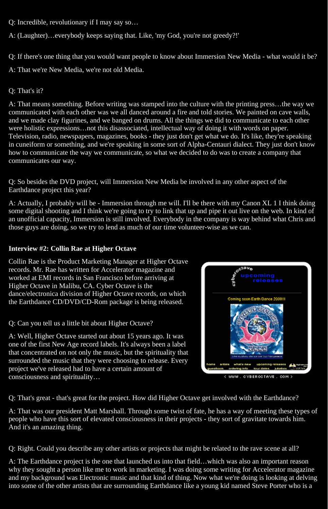- Q: Incredible, revolutionary if I may say so…
- A: (Laughter)…everybody keeps saying that. Like, 'my God, you're not greedy?!'
- Q: If there's one thing that you would want people to know about Immersion New Media what would it be?
- A: That we're New Media, we're not old Media.

# Q: That's it?

A: That means something. Before writing was stamped into the culture with the printing press…the way we communicated with each other was we all danced around a fire and told stories. We painted on cave walls, and we made clay figurines, and we banged on drums. All the things we did to communicate to each other were holistic expressions…not this disassociated, intellectual way of doing it with words on paper. Television, radio, newspapers, magazines, books - they just don't get what we do. It's like, they're speaking in cuneiform or something, and we're speaking in some sort of Alpha-Centauri dialect. They just don't know how to communicate the way we communicate, so what we decided to do was to create a company that communicates our way.

Q: So besides the DVD project, will Immersion New Media be involved in any other aspect of the Earthdance project this year?

A: Actually, I probably will be - Immersion through me will. I'll be there with my Canon XL 1 I think doing some digital shooting and I think we're going to try to link that up and pipe it out live on the web. In kind of an unofficial capacity, Immersion is still involved. Everybody in the company is way behind what Chris and those guys are doing, so we try to lend as much of our time volunteer-wise as we can.

## **Interview #2: Collin Rae at Higher Octave**

Collin Rae is the Product Marketing Manager at Higher Octave records. Mr. Rae has written for Accelerator magazine and worked at EMI records in San Francisco before arriving at Higher Octave in Malibu, CA. Cyber Octave is the dance/electronica division of Higher Octave records, on which the Earthdance CD/DVD/CD-Rom package is being released.

Q: Can you tell us a little bit about Higher Octave?

A: Well, Higher Octave started out about 15 years ago. It was one of the first New Age record labels. It's always been a label that concentrated on not only the music, but the spirituality that surrounded the music that they were choosing to release. Every project we've released had to have a certain amount of consciousness and spirituality…



< WWW. CYBEROCTAVE. COM >

Q: That's great - that's great for the project. How did Higher Octave get involved with the Earthdance?

A: That was our president Matt Marshall. Through some twist of fate, he has a way of meeting these types of people who have this sort of elevated consciousness in their projects - they sort of gravitate towards him. And it's an amazing thing.

Q: Right. Could you describe any other artists or projects that might be related to the rave scene at all?

A: The Earthdance project is the one that launched us into that field…which was also an important reason why they sought a person like me to work in marketing. I was doing some writing for Accelerator magazine and my background was Electronic music and that kind of thing. Now what we're doing is looking at delving into some of the other artists that are surrounding Earthdance like a young kid named Steve Porter who is a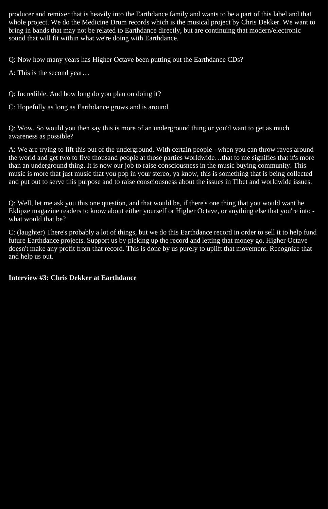producer and remixer that is heavily into the Earthdance family and wants to be a part of this label and that whole project. We do the Medicine Drum records which is the musical project by Chris Dekker. We want to bring in bands that may not be related to Earthdance directly, but are continuing that modern/electronic sound that will fit within what we're doing with Earthdance.

Q: Now how many years has Higher Octave been putting out the Earthdance CDs?

A: This is the second year…

Q: Incredible. And how long do you plan on doing it?

C: Hopefully as long as Earthdance grows and is around.

Q: Wow. So would you then say this is more of an underground thing or you'd want to get as much awareness as possible?

A: We are trying to lift this out of the underground. With certain people - when you can throw raves around the world and get two to five thousand people at those parties worldwide…that to me signifies that it's more than an underground thing. It is now our job to raise consciousness in the music buying community. This music is more that just music that you pop in your stereo, ya know, this is something that is being collected and put out to serve this purpose and to raise consciousness about the issues in Tibet and worldwide issues.

Q: Well, let me ask you this one question, and that would be, if there's one thing that you would want he Eklipze magazine readers to know about either yourself or Higher Octave, or anything else that you're into what would that be?

C: (laughter) There's probably a lot of things, but we do this Earthdance record in order to sell it to help fund future Earthdance projects. Support us by picking up the record and letting that money go. Higher Octave doesn't make any profit from that record. This is done by us purely to uplift that movement. Recognize that and help us out.

#### **Interview #3: Chris Dekker at Earthdance**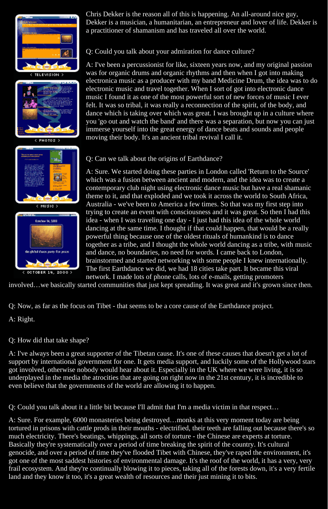



```
PHOTOS >
```




Chris Dekker is the reason all of this is happening. An all-around nice guy, Dekker is a musician, a humanitarian, an entrepreneur and lover of life. Dekker is a practitioner of shamanism and has traveled all over the world.

Q: Could you talk about your admiration for dance culture?

A: I've been a percussionist for like, sixteen years now, and my original passion was for organic drums and organic rhythms and then when I got into making electronica music as a producer with my band Medicine Drum, the idea was to do electronic music and travel together. When I sort of got into electronic dance music I found it as one of the most powerful sort of new forces of music I ever felt. It was so tribal, it was really a reconnection of the spirit, of the body, and dance which is taking over which was great. I was brought up in a culture where you 'go out and watch the band' and there was a separation, but now you can just immerse yourself into the great energy of dance beats and sounds and people moving their body. It's an ancient tribal revival I call it.

# Q: Can we talk about the origins of Earthdance?

A: Sure. We started doing these parties in London called 'Return to the Source' which was a fusion between ancient and modern, and the idea was to create a contemporary club night using electronic dance music but have a real shamanic theme to it, and that exploded and we took it across the world to South Africa, Australia - we've been to America a few times. So that was my first step into trying to create an event with consciousness and it was great. So then I had this idea - when I was traveling one day - I just had this idea of the whole world dancing at the same time. I thought if that could happen, that would be a really powerful thing because one of the oldest rituals of humankind is to dance together as a tribe, and I thought the whole world dancing as a tribe, with music and dance, no boundaries, no need for words. I came back to London, brainstormed and started networking with some people I knew internationally. The first Earthdance we did, we had 18 cities take part. It became this viral network. I made lots of phone calls, lots of e-mails, getting promoters

involved…we basically started communities that just kept spreading. It was great and it's grown since then.

Q: Now, as far as the focus on Tibet - that seems to be a core cause of the Earthdance project.

A: Right.

# Q: How did that take shape?

A: I've always been a great supporter of the Tibetan cause. It's one of these causes that doesn't get a lot of support by international government for one. It gets media support, and luckily some of the Hollywood stars got involved, otherwise nobody would hear about it. Especially in the UK where we were living, it is so underplayed in the media the atrocities that are going on right now in the 21st century, it is incredible to even believe that the governments of the world are allowing it to happen.

Q: Could you talk about it a little bit because I'll admit that I'm a media victim in that respect…

A: Sure. For example, 6000 monasteries being destroyed…monks at this very moment today are being tortured in prisons with cattle prods in their mouths - electrified, their teeth are falling out because there's so much electricity. There's beatings, whippings, all sorts of torture - the Chinese are experts at torture. Basically they're systematically over a period of time breaking the spirit of the country. It's cultural genocide, and over a period of time they've flooded Tibet with Chinese, they've raped the environment, it's got one of the most saddest histories of environmental damage. It's the roof of the world, it has a very, very frail ecosystem. And they're continually blowing it to pieces, taking all of the forests down, it's a very fertile land and they know it too, it's a great wealth of resources and their just mining it to bits.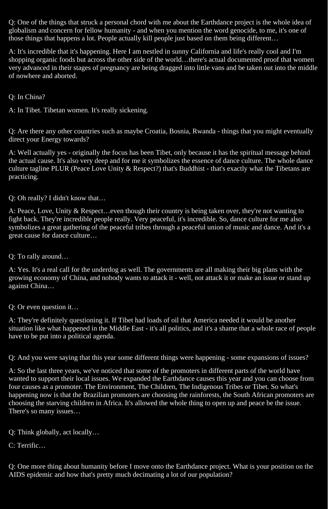Q: One of the things that struck a personal chord with me about the Earthdance project is the whole idea of globalism and concern for fellow humanity - and when you mention the word genocide, to me, it's one of those things that happens a lot. People actually kill people just based on them being different…

A: It's incredible that it's happening. Here I am nestled in sunny California and life's really cool and I'm shopping organic foods but across the other side of the world…there's actual documented proof that women very advanced in their stages of pregnancy are being dragged into little vans and be taken out into the middle of nowhere and aborted.

Q: In China?

A: In Tibet. Tibetan women. It's really sickening.

Q: Are there any other countries such as maybe Croatia, Bosnia, Rwanda - things that you might eventually direct your Energy towards?

A: Well actually yes - originally the focus has been Tibet, only because it has the spiritual message behind the actual cause. It's also very deep and for me it symbolizes the essence of dance culture. The whole dance culture tagline PLUR (Peace Love Unity & Respect?) that's Buddhist - that's exactly what the Tibetans are practicing.

Q: Oh really? I didn't know that…

A: Peace, Love, Unity & Respect…even though their country is being taken over, they're not wanting to fight back. They're incredible people really. Very peaceful, it's incredible. So, dance culture for me also symbolizes a great gathering of the peaceful tribes through a peaceful union of music and dance. And it's a great cause for dance culture…

Q: To rally around…

A: Yes. It's a real call for the underdog as well. The governments are all making their big plans with the growing economy of China, and nobody wants to attack it - well, not attack it or make an issue or stand up against China…

Q: Or even question it…

A: They're definitely questioning it. If Tibet had loads of oil that America needed it would be another situation like what happened in the Middle East - it's all politics, and it's a shame that a whole race of people have to be put into a political agenda.

Q: And you were saying that this year some different things were happening - some expansions of issues?

A: So the last three years, we've noticed that some of the promoters in different parts of the world have wanted to support their local issues. We expanded the Earthdance causes this year and you can choose from four causes as a promoter. The Environment, The Children, The Indigenous Tribes or Tibet. So what's happening now is that the Brazilian promoters are choosing the rainforests, the South African promoters are choosing the starving children in Africa. It's allowed the whole thing to open up and peace be the issue. There's so many issues…

Q: Think globally, act locally…

C: Terrific…

Q: One more thing about humanity before I move onto the Earthdance project. What is your position on the AIDS epidemic and how that's pretty much decimating a lot of our population?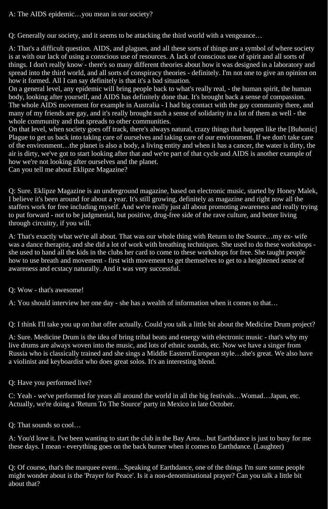## A: The AIDS epidemic…you mean in our society?

Q: Generally our society, and it seems to be attacking the third world with a vengeance…

A: That's a difficult question. AIDS, and plagues, and all these sorts of things are a symbol of where society is at with our lack of using a conscious use of resources. A lack of conscious use of spirit and all sorts of things. I don't really know - there's so many different theories about how it was designed in a laboratory and spread into the third world, and all sorts of conspiracy theories - definitely. I'm not one to give an opinion on how it formed. All I can say definitely is that it's a bad situation.

On a general level, any epidemic will bring people back to what's really real, - the human spirit, the human body, looking after yourself, and AIDS has definitely done that. It's brought back a sense of compassion. The whole AIDS movement for example in Australia - I had big contact with the gay community there, and many of my friends are gay, and it's really brought such a sense of solidarity in a lot of them as well - the whole community and that spreads to other communities.

On that level, when society goes off track, there's always natural, crazy things that happen like the [Bubonic] Plague to get us back into taking care of ourselves and taking care of our environment. If we don't take care of the environment…the planet is also a body, a living entity and when it has a cancer, the water is dirty, the air is dirty, we've got to start looking after that and we're part of that cycle and AIDS is another example of how we're not looking after ourselves and the planet.

Can you tell me about Eklipze Magazine?

Q: Sure. Eklipze Magazine is an underground magazine, based on electronic music, started by Honey Malek, I believe it's been around for about a year. It's still growing, definitely as magazine and right now all the staffers work for free including myself. And we're really just all about promoting awareness and really trying to put forward - not to be judgmental, but positive, drug-free side of the rave culture, and better living through circuitry, if you will.

A: That's exactly what we're all about. That was our whole thing with Return to the Source…my ex- wife was a dance therapist, and she did a lot of work with breathing techniques. She used to do these workshops she used to hand all the kids in the clubs her card to come to these workshops for free. She taught people how to use breath and movement - first with movement to get themselves to get to a heightened sense of awareness and ecstacy naturally. And it was very successful.

Q: Wow - that's awesome!

A: You should interview her one day - she has a wealth of information when it comes to that…

Q: I think I'll take you up on that offer actually. Could you talk a little bit about the Medicine Drum project?

A: Sure. Medicine Drum is the idea of bring tribal beats and energy with electronic music - that's why my live drums are always woven into the music, and lots of ethnic sounds, etc. Now we have a singer from Russia who is classically trained and she sings a Middle Eastern/European style…she's great. We also have a violinist and keyboardist who does great solos. It's an interesting blend.

Q: Have you performed live?

C: Yeah - we've performed for years all around the world in all the big festivals…Womad…Japan, etc. Actually, we're doing a 'Return To The Source' party in Mexico in late October.

Q: That sounds so cool…

A: You'd love it. I've been wanting to start the club in the Bay Area…but Earthdance is just to busy for me these days. I mean - everything goes on the back burner when it comes to Earthdance. (Laughter)

Q: Of course, that's the marquee event…Speaking of Earthdance, one of the things I'm sure some people might wonder about is the 'Prayer for Peace'. Is it a non-denominational prayer? Can you talk a little bit about that?